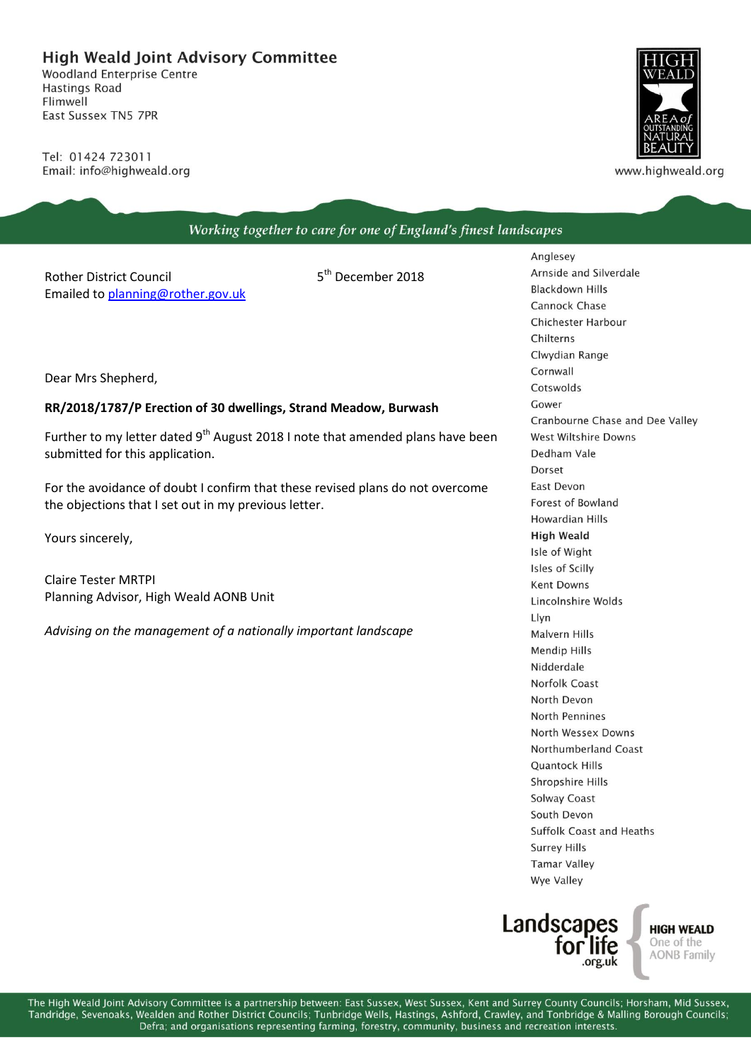## **High Weald Joint Advisory Committee**

**Woodland Enterprise Centre Hastings Road** Flimwell East Sussex TN5 7PR

Tel: 01424 723011 Email: info@highweald.org



www.highweald.org

| Working together to care for one of England's finest landscapes                                                                                                                                                                                                                   |                               |                                                                                                                   |
|-----------------------------------------------------------------------------------------------------------------------------------------------------------------------------------------------------------------------------------------------------------------------------------|-------------------------------|-------------------------------------------------------------------------------------------------------------------|
| <b>Rother District Council</b><br>Emailed to planning@rother.gov.uk                                                                                                                                                                                                               | 5 <sup>th</sup> December 2018 | Anglesey<br>Arnside and Silverdale<br><b>Blackdown Hills</b><br><b>Cannock Chase</b><br><b>Chichester Harbour</b> |
| Dear Mrs Shepherd,                                                                                                                                                                                                                                                                |                               | Chilterns<br>Clwydian Range<br>Cornwall<br>Cotswolds<br>Gower                                                     |
| RR/2018/1787/P Erection of 30 dwellings, Strand Meadow, Burwash<br>Further to my letter dated 9 <sup>th</sup> August 2018 I note that amended plans have been<br>submitted for this application.<br>For the avoidance of doubt I confirm that these revised plans do not overcome |                               | Cranbourne Chase and Dee Valley<br><b>West Wiltshire Downs</b>                                                    |
|                                                                                                                                                                                                                                                                                   |                               | Dedham Vale<br>Dorset<br>East Devon                                                                               |
| the objections that I set out in my previous letter.                                                                                                                                                                                                                              |                               | Forest of Bowland<br>Howardian Hills                                                                              |
| Yours sincerely,                                                                                                                                                                                                                                                                  |                               | <b>High Weald</b><br>Isle of Wight<br>Isles of Scilly                                                             |
| <b>Claire Tester MRTPI</b><br>Planning Advisor, High Weald AONB Unit                                                                                                                                                                                                              |                               | <b>Kent Downs</b><br>Lincolnshire Wolds<br>Llyn                                                                   |
| Advising on the management of a nationally important landscape                                                                                                                                                                                                                    |                               | <b>Malvern Hills</b><br><b>Mendip Hills</b><br>Nidderdale                                                         |
|                                                                                                                                                                                                                                                                                   |                               | <b>Norfolk Coast</b><br>North Devon<br>North Pennines<br>North Wessex Downs                                       |
|                                                                                                                                                                                                                                                                                   |                               | Northumberland Coast<br><b>Quantock Hills</b>                                                                     |
|                                                                                                                                                                                                                                                                                   |                               | Shropshire Hills<br>Solway Coast<br>South Devon                                                                   |
|                                                                                                                                                                                                                                                                                   |                               | <b>Suffolk Coast and Heaths</b><br><b>Surrey Hills</b><br><b>Tamar Valley</b>                                     |



Wye Valley

**HIGH WEALD** One of the<br>AONB Family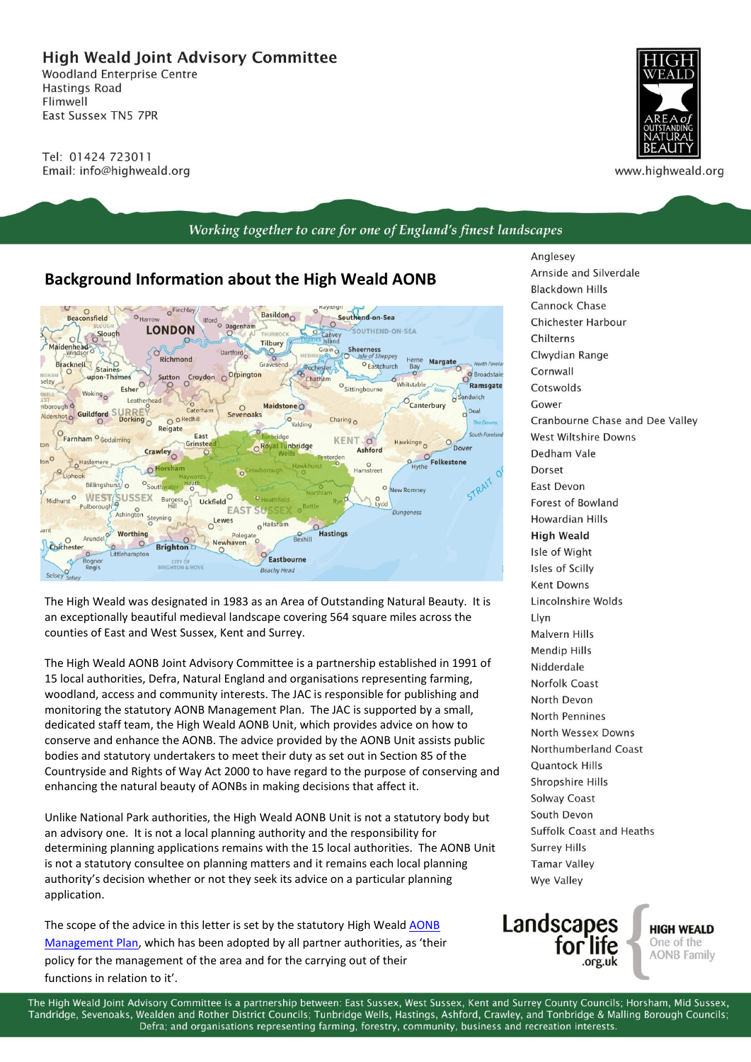**High Weald Joint Advisory Committee** 

**Woodland Enterprise Centre Hastings Road** Flimwell East Sussex TN5 7PR

Tel: 01424 723011 Email: info@highweald.org



www.highweald.org

## Working together to care for one of England's finest landscapes

## **Background Information about the High Weald AONB**



The High Weald was designated in 1983 as an Area of Outstanding Natural Beauty. It is an exceptionally beautiful medieval landscape covering 564 square miles across the counties of East and West Sussex, Kent and Surrey.

The High Weald AONB Joint Advisory Committee is a partnership established in 1991 of 15 local authorities, Defra, Natural England and organisations representing farming, woodland, access and community interests. The JAC is responsible for publishing and monitoring the statutory AONB Management Plan. The JAC is supported by a small, dedicated staff team, the High Weald AONB Unit, which provides advice on how to conserve and enhance the AONB. The advice provided by the AONB Unit assists public bodies and statutory undertakers to meet their duty as set out in Section 85 of the Countryside and Rights of Way Act 2000 to have regard to the purpose of conserving and enhancing the natural beauty of AONBs in making decisions that affect it.

Unlike National Park authorities, the High Weald AONB Unit is not a statutory body but an advisory one. It is not a local planning authority and the responsibility for determining planning applications remains with the 15 local authorities. The AONB Unit is not a statutory consultee on planning matters and it remains each local planning authority's decision whether or not they seek its advice on a particular planning application.

The scope of the advice in this letter is set by the statutory High Weald **AONB** [Management Plan](http://www.highweald.org/high-weald-aonb-management-plan.html), which has been adopted by all partner authorities, as 'their policy for the management of the area and for the carrying out of their functions in relation to it'.

Anglesey Arnside and Silverdale **Blackdown Hills** Cannock Chase Chichester Harbour Chilterns Clwydian Range Cornwall Cotswolds Cower Cranbourne Chase and Dee Valley West Wiltshire Downs Dedham Vale Dorset **Fast Devon** Forest of Bowland **Howardian Hills High Weald** Isle of Wight Isles of Scilly **Kent Downs** Lincolnshire Wolds I lvn **Malvern Hills Mendip Hills** Nidderdale Norfolk Coast North Devon North Pennines North Wessex Downs Northumberland Coast **Ouantock Hills** Shropshire Hills **Solway Coast** South Devon Suffolk Coast and Heaths **Surrey Hills Tamar Valley** Wye Valley



**HIGH WEALD** One of the **AONB Family** 

The High Weald Joint Advisory Committee is a partnership between: East Sussex, West Sussex, Kent and Surrey County Councils: Horsham, Mid Sussex, Tandridge, Sevenoaks, Wealden and Rother District Councils; Tunbridge Wells, Hastings, Ashford, Crawley, and Tonbridge & Malling Borough Councils; Defra; and organisations representing farming, forestry, community, business and recreation interests.